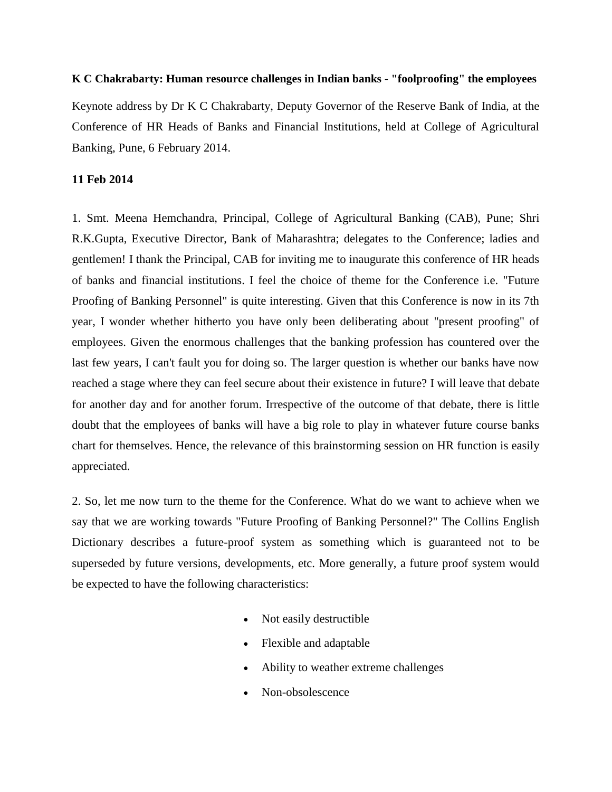## **K C Chakrabarty: Human resource challenges in Indian banks - "foolproofing" the employees**

Keynote address by Dr [K C Chakrabarty,](http://www.bis.org/author/k_c_chakrabarty.htm) Deputy Governor of the Reserve Bank of India, at the Conference of HR Heads of Banks and Financial Institutions, held at College of Agricultural Banking, Pune, 6 February 2014.

## **11 Feb 2014**

1. Smt. Meena Hemchandra, Principal, College of Agricultural Banking (CAB), Pune; Shri R.K.Gupta, Executive Director, Bank of Maharashtra; delegates to the Conference; ladies and gentlemen! I thank the Principal, CAB for inviting me to inaugurate this conference of HR heads of banks and financial institutions. I feel the choice of theme for the Conference i.e. "Future Proofing of Banking Personnel" is quite interesting. Given that this Conference is now in its 7th year, I wonder whether hitherto you have only been deliberating about "present proofing" of employees. Given the enormous challenges that the banking profession has countered over the last few years, I can't fault you for doing so. The larger question is whether our banks have now reached a stage where they can feel secure about their existence in future? I will leave that debate for another day and for another forum. Irrespective of the outcome of that debate, there is little doubt that the employees of banks will have a big role to play in whatever future course banks chart for themselves. Hence, the relevance of this brainstorming session on HR function is easily appreciated.

2. So, let me now turn to the theme for the Conference. What do we want to achieve when we say that we are working towards "Future Proofing of Banking Personnel?" The Collins English Dictionary describes a future-proof system as something which is guaranteed not to be superseded by future versions, developments, etc. More generally, a future proof system would be expected to have the following characteristics:

- Not easily destructible
- Flexible and adaptable
- Ability to weather extreme challenges
- Non-obsolescence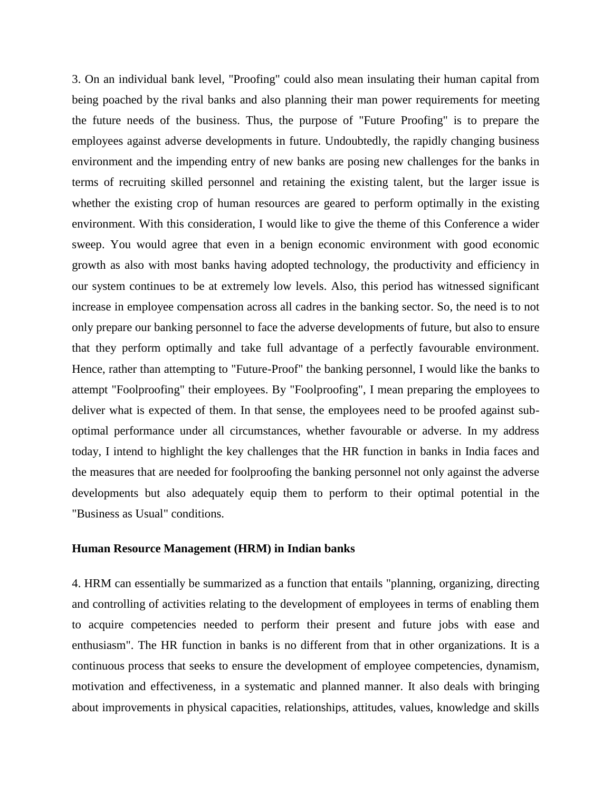3. On an individual bank level, "Proofing" could also mean insulating their human capital from being poached by the rival banks and also planning their man power requirements for meeting the future needs of the business. Thus, the purpose of "Future Proofing" is to prepare the employees against adverse developments in future. Undoubtedly, the rapidly changing business environment and the impending entry of new banks are posing new challenges for the banks in terms of recruiting skilled personnel and retaining the existing talent, but the larger issue is whether the existing crop of human resources are geared to perform optimally in the existing environment. With this consideration, I would like to give the theme of this Conference a wider sweep. You would agree that even in a benign economic environment with good economic growth as also with most banks having adopted technology, the productivity and efficiency in our system continues to be at extremely low levels. Also, this period has witnessed significant increase in employee compensation across all cadres in the banking sector. So, the need is to not only prepare our banking personnel to face the adverse developments of future, but also to ensure that they perform optimally and take full advantage of a perfectly favourable environment. Hence, rather than attempting to "Future-Proof" the banking personnel, I would like the banks to attempt "Foolproofing" their employees. By "Foolproofing", I mean preparing the employees to deliver what is expected of them. In that sense, the employees need to be proofed against suboptimal performance under all circumstances, whether favourable or adverse. In my address today, I intend to highlight the key challenges that the HR function in banks in India faces and the measures that are needed for foolproofing the banking personnel not only against the adverse developments but also adequately equip them to perform to their optimal potential in the "Business as Usual" conditions.

#### **Human Resource Management (HRM) in Indian banks**

4. HRM can essentially be summarized as a function that entails "planning, organizing, directing and controlling of activities relating to the development of employees in terms of enabling them to acquire competencies needed to perform their present and future jobs with ease and enthusiasm". The HR function in banks is no different from that in other organizations. It is a continuous process that seeks to ensure the development of employee competencies, dynamism, motivation and effectiveness, in a systematic and planned manner. It also deals with bringing about improvements in physical capacities, relationships, attitudes, values, knowledge and skills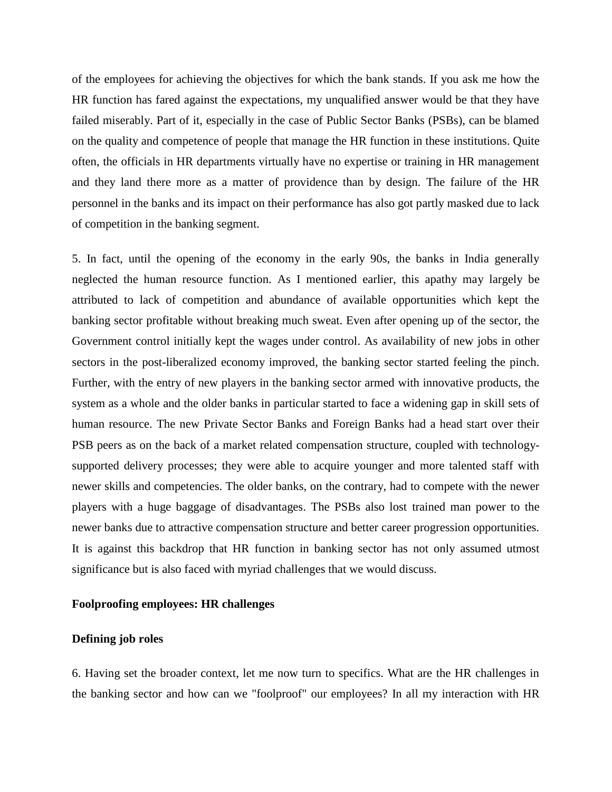of the employees for achieving the objectives for which the bank stands. If you ask me how the HR function has fared against the expectations, my unqualified answer would be that they have failed miserably. Part of it, especially in the case of Public Sector Banks (PSBs), can be blamed on the quality and competence of people that manage the HR function in these institutions. Quite often, the officials in HR departments virtually have no expertise or training in HR management and they land there more as a matter of providence than by design. The failure of the HR personnel in the banks and its impact on their performance has also got partly masked due to lack of competition in the banking segment.

5. In fact, until the opening of the economy in the early 90s, the banks in India generally neglected the human resource function. As I mentioned earlier, this apathy may largely be attributed to lack of competition and abundance of available opportunities which kept the banking sector profitable without breaking much sweat. Even after opening up of the sector, the Government control initially kept the wages under control. As availability of new jobs in other sectors in the post-liberalized economy improved, the banking sector started feeling the pinch. Further, with the entry of new players in the banking sector armed with innovative products, the system as a whole and the older banks in particular started to face a widening gap in skill sets of human resource. The new Private Sector Banks and Foreign Banks had a head start over their PSB peers as on the back of a market related compensation structure, coupled with technologysupported delivery processes; they were able to acquire younger and more talented staff with newer skills and competencies. The older banks, on the contrary, had to compete with the newer players with a huge baggage of disadvantages. The PSBs also lost trained man power to the newer banks due to attractive compensation structure and better career progression opportunities. It is against this backdrop that HR function in banking sector has not only assumed utmost significance but is also faced with myriad challenges that we would discuss.

## **Foolproofing employees: HR challenges**

## **Defining job roles**

6. Having set the broader context, let me now turn to specifics. What are the HR challenges in the banking sector and how can we "foolproof" our employees? In all my interaction with HR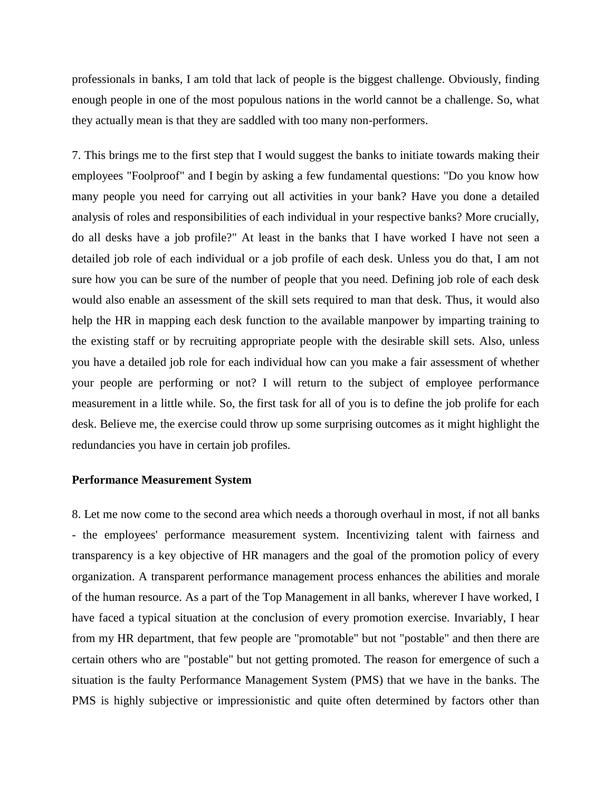professionals in banks, I am told that lack of people is the biggest challenge. Obviously, finding enough people in one of the most populous nations in the world cannot be a challenge. So, what they actually mean is that they are saddled with too many non-performers.

7. This brings me to the first step that I would suggest the banks to initiate towards making their employees "Foolproof" and I begin by asking a few fundamental questions: "Do you know how many people you need for carrying out all activities in your bank? Have you done a detailed analysis of roles and responsibilities of each individual in your respective banks? More crucially, do all desks have a job profile?" At least in the banks that I have worked I have not seen a detailed job role of each individual or a job profile of each desk. Unless you do that, I am not sure how you can be sure of the number of people that you need. Defining job role of each desk would also enable an assessment of the skill sets required to man that desk. Thus, it would also help the HR in mapping each desk function to the available manpower by imparting training to the existing staff or by recruiting appropriate people with the desirable skill sets. Also, unless you have a detailed job role for each individual how can you make a fair assessment of whether your people are performing or not? I will return to the subject of employee performance measurement in a little while. So, the first task for all of you is to define the job prolife for each desk. Believe me, the exercise could throw up some surprising outcomes as it might highlight the redundancies you have in certain job profiles.

## **Performance Measurement System**

8. Let me now come to the second area which needs a thorough overhaul in most, if not all banks - the employees' performance measurement system. Incentivizing talent with fairness and transparency is a key objective of HR managers and the goal of the promotion policy of every organization. A transparent performance management process enhances the abilities and morale of the human resource. As a part of the Top Management in all banks, wherever I have worked, I have faced a typical situation at the conclusion of every promotion exercise. Invariably, I hear from my HR department, that few people are "promotable" but not "postable" and then there are certain others who are "postable" but not getting promoted. The reason for emergence of such a situation is the faulty Performance Management System (PMS) that we have in the banks. The PMS is highly subjective or impressionistic and quite often determined by factors other than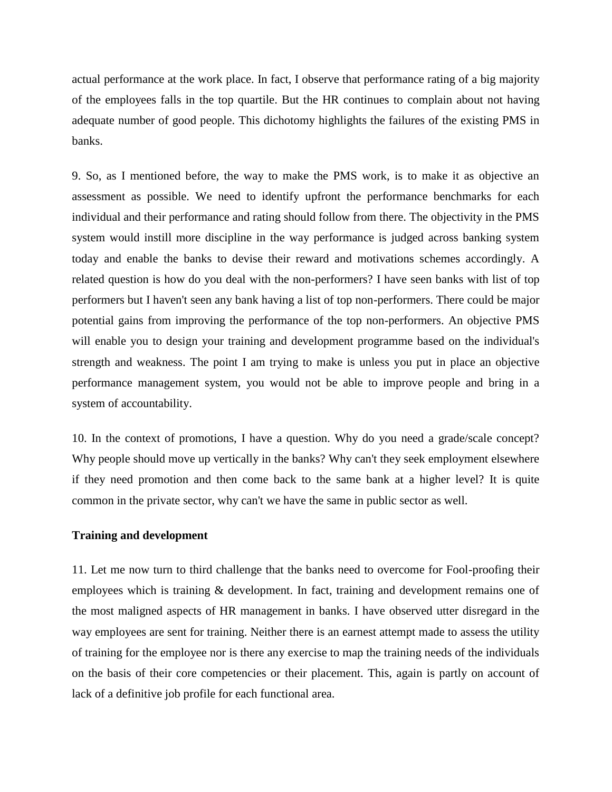actual performance at the work place. In fact, I observe that performance rating of a big majority of the employees falls in the top quartile. But the HR continues to complain about not having adequate number of good people. This dichotomy highlights the failures of the existing PMS in banks.

9. So, as I mentioned before, the way to make the PMS work, is to make it as objective an assessment as possible. We need to identify upfront the performance benchmarks for each individual and their performance and rating should follow from there. The objectivity in the PMS system would instill more discipline in the way performance is judged across banking system today and enable the banks to devise their reward and motivations schemes accordingly. A related question is how do you deal with the non-performers? I have seen banks with list of top performers but I haven't seen any bank having a list of top non-performers. There could be major potential gains from improving the performance of the top non-performers. An objective PMS will enable you to design your training and development programme based on the individual's strength and weakness. The point I am trying to make is unless you put in place an objective performance management system, you would not be able to improve people and bring in a system of accountability.

10. In the context of promotions, I have a question. Why do you need a grade/scale concept? Why people should move up vertically in the banks? Why can't they seek employment elsewhere if they need promotion and then come back to the same bank at a higher level? It is quite common in the private sector, why can't we have the same in public sector as well.

# **Training and development**

11. Let me now turn to third challenge that the banks need to overcome for Fool-proofing their employees which is training & development. In fact, training and development remains one of the most maligned aspects of HR management in banks. I have observed utter disregard in the way employees are sent for training. Neither there is an earnest attempt made to assess the utility of training for the employee nor is there any exercise to map the training needs of the individuals on the basis of their core competencies or their placement. This, again is partly on account of lack of a definitive job profile for each functional area.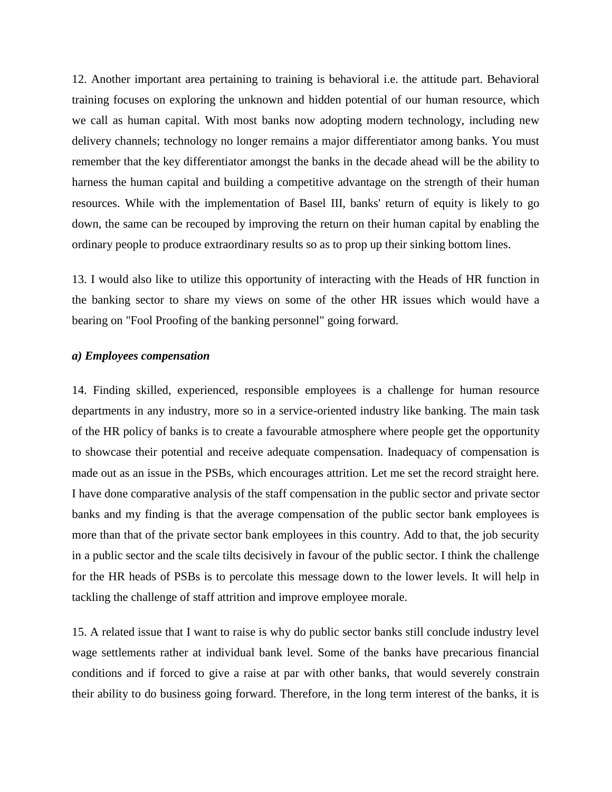12. Another important area pertaining to training is behavioral i.e. the attitude part. Behavioral training focuses on exploring the unknown and hidden potential of our human resource, which we call as human capital. With most banks now adopting modern technology, including new delivery channels; technology no longer remains a major differentiator among banks. You must remember that the key differentiator amongst the banks in the decade ahead will be the ability to harness the human capital and building a competitive advantage on the strength of their human resources. While with the implementation of Basel III, banks' return of equity is likely to go down, the same can be recouped by improving the return on their human capital by enabling the ordinary people to produce extraordinary results so as to prop up their sinking bottom lines.

13. I would also like to utilize this opportunity of interacting with the Heads of HR function in the banking sector to share my views on some of the other HR issues which would have a bearing on "Fool Proofing of the banking personnel" going forward.

#### *a) Employees compensation*

14. Finding skilled, experienced, responsible employees is a challenge for human resource departments in any industry, more so in a service-oriented industry like banking. The main task of the HR policy of banks is to create a favourable atmosphere where people get the opportunity to showcase their potential and receive adequate compensation. Inadequacy of compensation is made out as an issue in the PSBs, which encourages attrition. Let me set the record straight here. I have done comparative analysis of the staff compensation in the public sector and private sector banks and my finding is that the average compensation of the public sector bank employees is more than that of the private sector bank employees in this country. Add to that, the job security in a public sector and the scale tilts decisively in favour of the public sector. I think the challenge for the HR heads of PSBs is to percolate this message down to the lower levels. It will help in tackling the challenge of staff attrition and improve employee morale.

15. A related issue that I want to raise is why do public sector banks still conclude industry level wage settlements rather at individual bank level. Some of the banks have precarious financial conditions and if forced to give a raise at par with other banks, that would severely constrain their ability to do business going forward. Therefore, in the long term interest of the banks, it is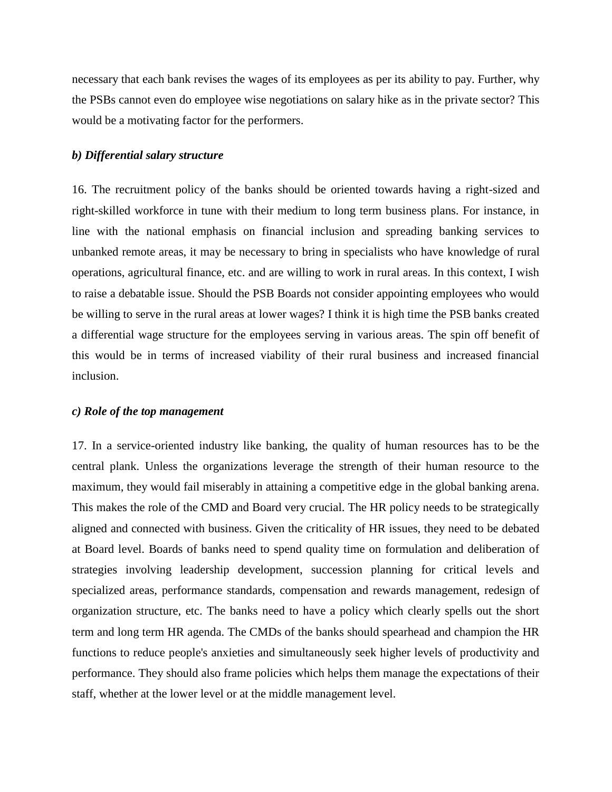necessary that each bank revises the wages of its employees as per its ability to pay. Further, why the PSBs cannot even do employee wise negotiations on salary hike as in the private sector? This would be a motivating factor for the performers.

# *b) Differential salary structure*

16. The recruitment policy of the banks should be oriented towards having a right-sized and right-skilled workforce in tune with their medium to long term business plans. For instance, in line with the national emphasis on financial inclusion and spreading banking services to unbanked remote areas, it may be necessary to bring in specialists who have knowledge of rural operations, agricultural finance, etc. and are willing to work in rural areas. In this context, I wish to raise a debatable issue. Should the PSB Boards not consider appointing employees who would be willing to serve in the rural areas at lower wages? I think it is high time the PSB banks created a differential wage structure for the employees serving in various areas. The spin off benefit of this would be in terms of increased viability of their rural business and increased financial inclusion.

#### *c) Role of the top management*

17. In a service-oriented industry like banking, the quality of human resources has to be the central plank. Unless the organizations leverage the strength of their human resource to the maximum, they would fail miserably in attaining a competitive edge in the global banking arena. This makes the role of the CMD and Board very crucial. The HR policy needs to be strategically aligned and connected with business. Given the criticality of HR issues, they need to be debated at Board level. Boards of banks need to spend quality time on formulation and deliberation of strategies involving leadership development, succession planning for critical levels and specialized areas, performance standards, compensation and rewards management, redesign of organization structure, etc. The banks need to have a policy which clearly spells out the short term and long term HR agenda. The CMDs of the banks should spearhead and champion the HR functions to reduce people's anxieties and simultaneously seek higher levels of productivity and performance. They should also frame policies which helps them manage the expectations of their staff, whether at the lower level or at the middle management level.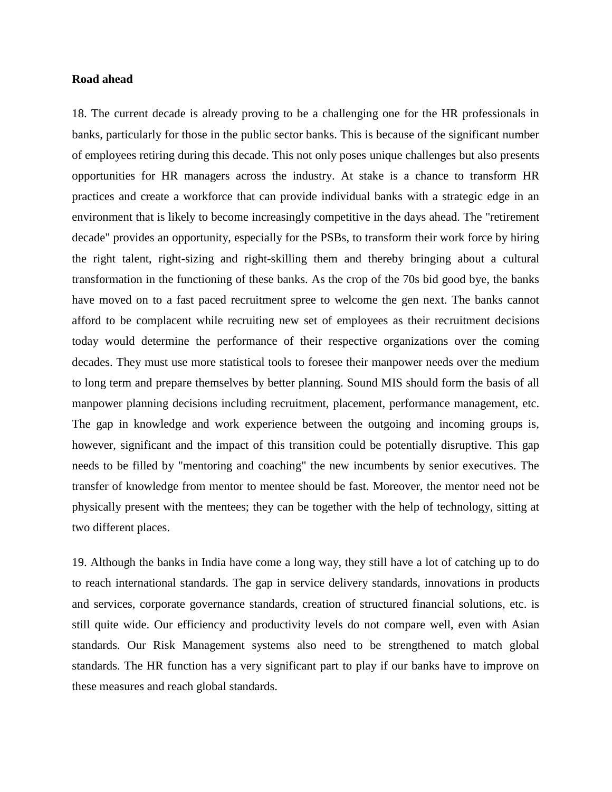# **Road ahead**

18. The current decade is already proving to be a challenging one for the HR professionals in banks, particularly for those in the public sector banks. This is because of the significant number of employees retiring during this decade. This not only poses unique challenges but also presents opportunities for HR managers across the industry. At stake is a chance to transform HR practices and create a workforce that can provide individual banks with a strategic edge in an environment that is likely to become increasingly competitive in the days ahead. The "retirement decade" provides an opportunity, especially for the PSBs, to transform their work force by hiring the right talent, right-sizing and right-skilling them and thereby bringing about a cultural transformation in the functioning of these banks. As the crop of the 70s bid good bye, the banks have moved on to a fast paced recruitment spree to welcome the gen next. The banks cannot afford to be complacent while recruiting new set of employees as their recruitment decisions today would determine the performance of their respective organizations over the coming decades. They must use more statistical tools to foresee their manpower needs over the medium to long term and prepare themselves by better planning. Sound MIS should form the basis of all manpower planning decisions including recruitment, placement, performance management, etc. The gap in knowledge and work experience between the outgoing and incoming groups is, however, significant and the impact of this transition could be potentially disruptive. This gap needs to be filled by "mentoring and coaching" the new incumbents by senior executives. The transfer of knowledge from mentor to mentee should be fast. Moreover, the mentor need not be physically present with the mentees; they can be together with the help of technology, sitting at two different places.

19. Although the banks in India have come a long way, they still have a lot of catching up to do to reach international standards. The gap in service delivery standards, innovations in products and services, corporate governance standards, creation of structured financial solutions, etc. is still quite wide. Our efficiency and productivity levels do not compare well, even with Asian standards. Our Risk Management systems also need to be strengthened to match global standards. The HR function has a very significant part to play if our banks have to improve on these measures and reach global standards.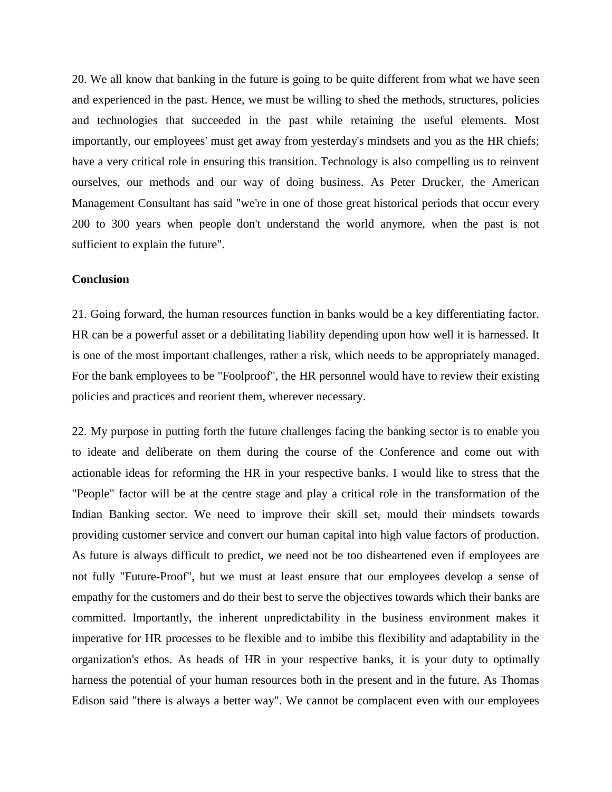20. We all know that banking in the future is going to be quite different from what we have seen and experienced in the past. Hence, we must be willing to shed the methods, structures, policies and technologies that succeeded in the past while retaining the useful elements. Most importantly, our employees' must get away from yesterday's mindsets and you as the HR chiefs; have a very critical role in ensuring this transition. Technology is also compelling us to reinvent ourselves, our methods and our way of doing business. As Peter Drucker, the American Management Consultant has said "we're in one of those great historical periods that occur every 200 to 300 years when people don't understand the world anymore, when the past is not sufficient to explain the future".

## **Conclusion**

21. Going forward, the human resources function in banks would be a key differentiating factor. HR can be a powerful asset or a debilitating liability depending upon how well it is harnessed. It is one of the most important challenges, rather a risk, which needs to be appropriately managed. For the bank employees to be "Foolproof", the HR personnel would have to review their existing policies and practices and reorient them, wherever necessary.

22. My purpose in putting forth the future challenges facing the banking sector is to enable you to ideate and deliberate on them during the course of the Conference and come out with actionable ideas for reforming the HR in your respective banks. I would like to stress that the "People" factor will be at the centre stage and play a critical role in the transformation of the Indian Banking sector. We need to improve their skill set, mould their mindsets towards providing customer service and convert our human capital into high value factors of production. As future is always difficult to predict, we need not be too disheartened even if employees are not fully "Future-Proof", but we must at least ensure that our employees develop a sense of empathy for the customers and do their best to serve the objectives towards which their banks are committed. Importantly, the inherent unpredictability in the business environment makes it imperative for HR processes to be flexible and to imbibe this flexibility and adaptability in the organization's ethos. As heads of HR in your respective banks, it is your duty to optimally harness the potential of your human resources both in the present and in the future. As Thomas Edison said "there is always a better way". We cannot be complacent even with our employees